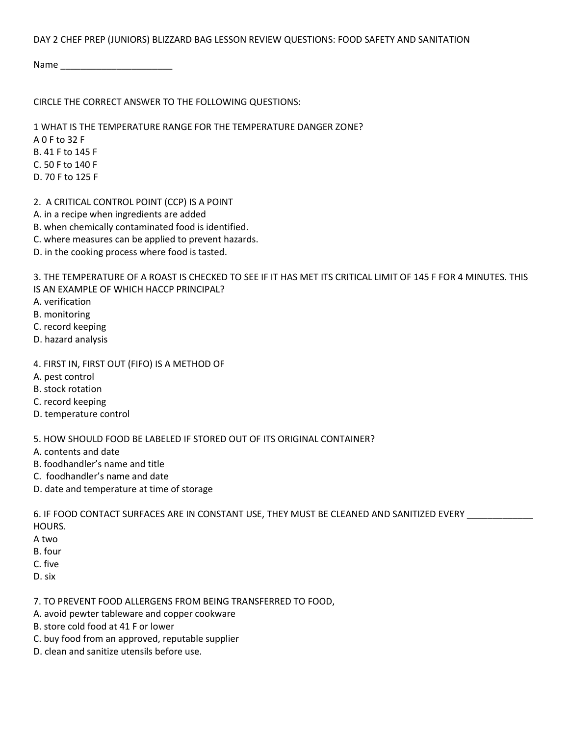DAY 2 CHEF PREP (JUNIORS) BLIZZARD BAG LESSON REVIEW QUESTIONS: FOOD SAFETY AND SANITATION

Name \_\_\_\_\_\_\_\_\_\_\_\_\_\_\_\_\_\_\_\_\_\_

## CIRCLE THE CORRECT ANSWER TO THE FOLLOWING QUESTIONS:

1 WHAT IS THE TEMPERATURE RANGE FOR THE TEMPERATURE DANGER ZONE? A 0 F to 32 F B. 41 F to 145 F C. 50 F to 140 F D. 70 F to 125 F

- 2. A CRITICAL CONTROL POINT (CCP) IS A POINT
- A. in a recipe when ingredients are added
- B. when chemically contaminated food is identified.
- C. where measures can be applied to prevent hazards.
- D. in the cooking process where food is tasted.

3. THE TEMPERATURE OF A ROAST IS CHECKED TO SEE IF IT HAS MET ITS CRITICAL LIMIT OF 145 F FOR 4 MINUTES. THIS IS AN EXAMPLE OF WHICH HACCP PRINCIPAL?

- A. verification
- B. monitoring
- C. record keeping
- D. hazard analysis
- 4. FIRST IN, FIRST OUT (FIFO) IS A METHOD OF
- A. pest control
- B. stock rotation
- C. record keeping
- D. temperature control

5. HOW SHOULD FOOD BE LABELED IF STORED OUT OF ITS ORIGINAL CONTAINER?

- A. contents and date
- B. foodhandler's name and title
- C. foodhandler's name and date
- D. date and temperature at time of storage

6. IF FOOD CONTACT SURFACES ARE IN CONSTANT USE, THEY MUST BE CLEANED AND SANITIZED EVERY \_\_\_\_\_\_\_\_\_\_\_\_\_ HOURS.

- A two
- B. four
- C. five
- D. six

7. TO PREVENT FOOD ALLERGENS FROM BEING TRANSFERRED TO FOOD,

- A. avoid pewter tableware and copper cookware
- B. store cold food at 41 F or lower
- C. buy food from an approved, reputable supplier
- D. clean and sanitize utensils before use.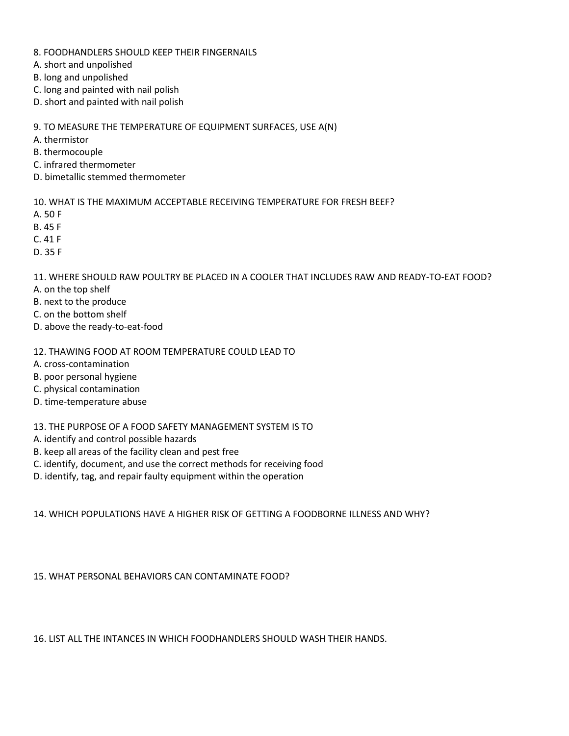- 8. FOODHANDLERS SHOULD KEEP THEIR FINGERNAILS
- A. short and unpolished
- B. long and unpolished
- C. long and painted with nail polish
- D. short and painted with nail polish

9. TO MEASURE THE TEMPERATURE OF EQUIPMENT SURFACES, USE A(N)

- A. thermistor
- B. thermocouple
- C. infrared thermometer
- D. bimetallic stemmed thermometer

10. WHAT IS THE MAXIMUM ACCEPTABLE RECEIVING TEMPERATURE FOR FRESH BEEF?

- A. 50 F
- B. 45 F
- C. 41 F
- D. 35 F

11. WHERE SHOULD RAW POULTRY BE PLACED IN A COOLER THAT INCLUDES RAW AND READY-TO-EAT FOOD?

- A. on the top shelf
- B. next to the produce
- C. on the bottom shelf
- D. above the ready-to-eat-food
- 12. THAWING FOOD AT ROOM TEMPERATURE COULD LEAD TO
- A. cross-contamination
- B. poor personal hygiene
- C. physical contamination
- D. time-temperature abuse

## 13. THE PURPOSE OF A FOOD SAFETY MANAGEMENT SYSTEM IS TO

- A. identify and control possible hazards
- B. keep all areas of the facility clean and pest free
- C. identify, document, and use the correct methods for receiving food
- D. identify, tag, and repair faulty equipment within the operation

14. WHICH POPULATIONS HAVE A HIGHER RISK OF GETTING A FOODBORNE ILLNESS AND WHY?

15. WHAT PERSONAL BEHAVIORS CAN CONTAMINATE FOOD?

16. LIST ALL THE INTANCES IN WHICH FOODHANDLERS SHOULD WASH THEIR HANDS.